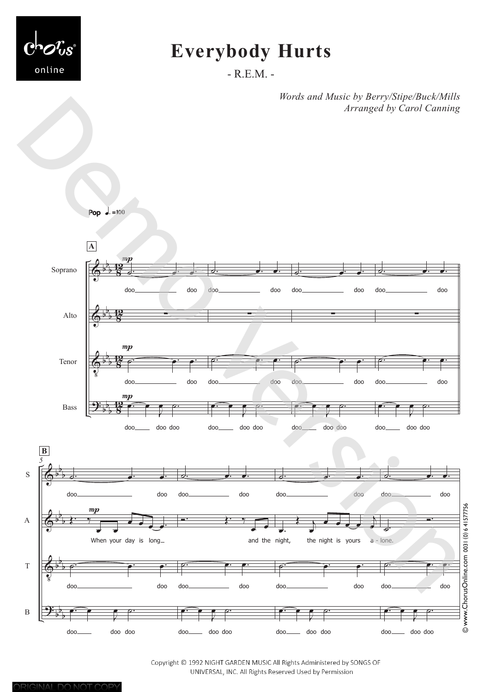

# **Everybody Hurts**

- R.E.M. -

*Words and Music by Berry/Stipe/Buck/Mills Arranged by Carol Canning*



Copyright © 1992 NIGHT GARDEN MUSIC All Rights Administered by SONGS OF UNIVERSAL, INC. All Rights Reserved Used by Permission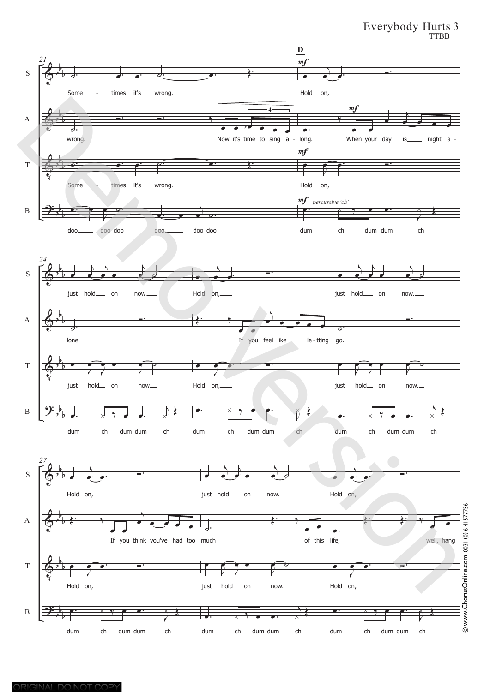#### Everybody Hurts 3 TTBB

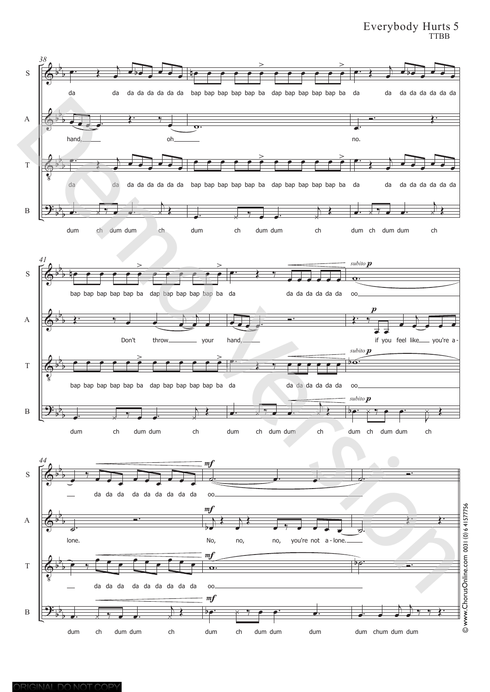#### Everybody Hurts 5 TTBB

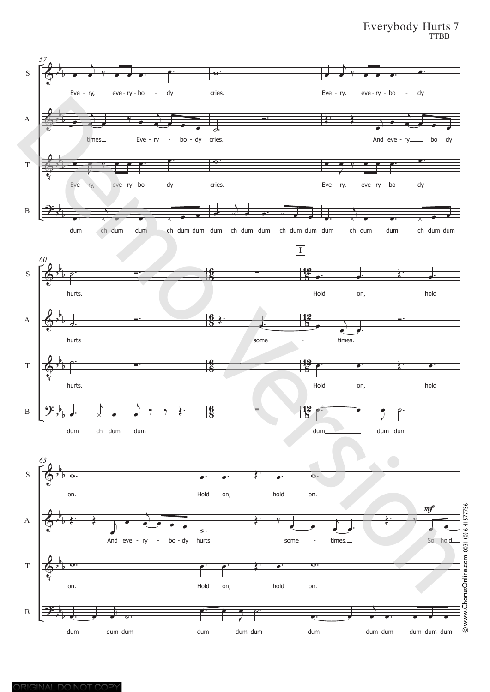#### Everybody Hurts 7 TTBB

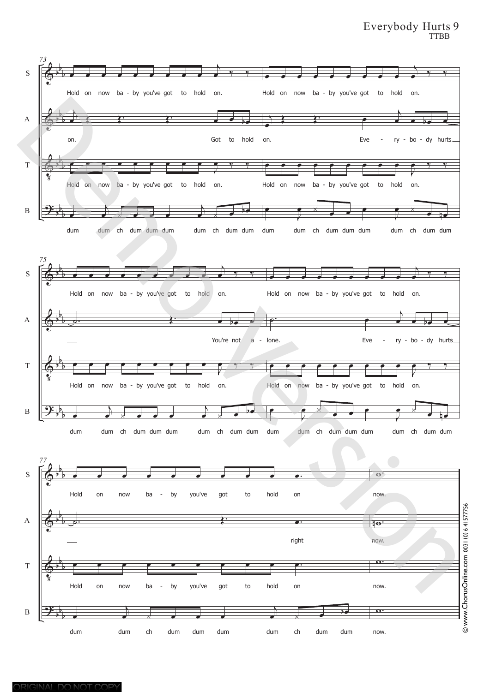#### Everybody Hurts 9 TTBB